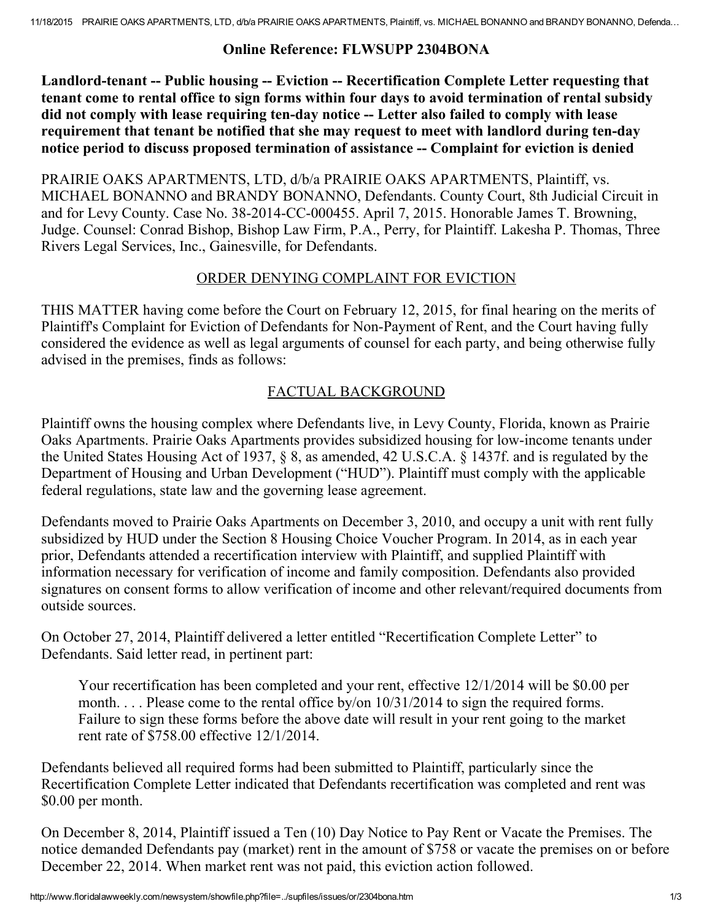#### Online Reference: FLWSUPP 2304BONA

Landlord-tenant -- Public housing -- Eviction -- Recertification Complete Letter requesting that tenant come to rental office to sign forms within four days to avoid termination of rental subsidy did not comply with lease requiring ten-day notice -- Letter also failed to comply with lease requirement that tenant be notified that she may request to meet with landlord during ten-day notice period to discuss proposed termination of assistance -- Complaint for eviction is denied

PRAIRIE OAKS APARTMENTS, LTD, d/b/a PRAIRIE OAKS APARTMENTS, Plaintiff, vs. MICHAEL BONANNO and BRANDY BONANNO, Defendants. County Court, 8th Judicial Circuit in and for Levy County. Case No. 38-2014-CC-000455. April 7, 2015. Honorable James T. Browning, Judge. Counsel: Conrad Bishop, Bishop Law Firm, P.A., Perry, for Plaintiff. Lakesha P. Thomas, Three Rivers Legal Services, Inc., Gainesville, for Defendants.

#### ORDER DENYING COMPLAINT FOR EVICTION

THIS MATTER having come before the Court on February 12, 2015, for final hearing on the merits of Plaintiff's Complaint for Eviction of Defendants for Non-Payment of Rent, and the Court having fully considered the evidence as well as legal arguments of counsel for each party, and being otherwise fully advised in the premises, finds as follows:

## FACTUAL BACKGROUND

Plaintiff owns the housing complex where Defendants live, in Levy County, Florida, known as Prairie Oaks Apartments. Prairie Oaks Apartments provides subsidized housing for low-income tenants under the United States Housing Act of 1937, § 8, as amended, 42 U.S.C.A. § 1437f. and is regulated by the Department of Housing and Urban Development ("HUD"). Plaintiff must comply with the applicable federal regulations, state law and the governing lease agreement.

Defendants moved to Prairie Oaks Apartments on December 3, 2010, and occupy a unit with rent fully subsidized by HUD under the Section 8 Housing Choice Voucher Program. In 2014, as in each year prior, Defendants attended a recertification interview with Plaintiff, and supplied Plaintiff with information necessary for verification of income and family composition. Defendants also provided signatures on consent forms to allow verification of income and other relevant/required documents from outside sources.

On October 27, 2014, Plaintiff delivered a letter entitled "Recertification Complete Letter" to Defendants. Said letter read, in pertinent part:

Your recertification has been completed and your rent, effective 12/1/2014 will be \$0.00 per month. . . . Please come to the rental office by/on  $10/31/2014$  to sign the required forms. Failure to sign these forms before the above date will result in your rent going to the market rent rate of \$758.00 effective 12/1/2014.

Defendants believed all required forms had been submitted to Plaintiff, particularly since the Recertification Complete Letter indicated that Defendants recertification was completed and rent was \$0.00 per month.

On December 8, 2014, Plaintiff issued a Ten (10) Day Notice to Pay Rent or Vacate the Premises. The notice demanded Defendants pay (market) rent in the amount of \$758 or vacate the premises on or before December 22, 2014. When market rent was not paid, this eviction action followed.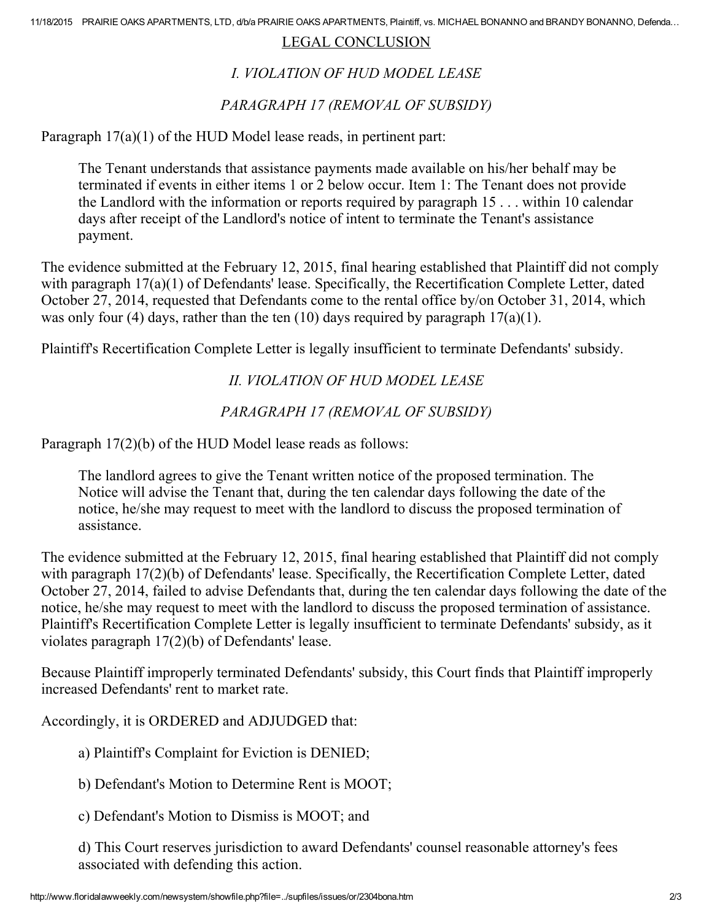#### LEGAL CONCLUSION

# I. VIOLATION OF HUD MODEL LEASE

### PARAGRAPH 17 (REMOVAL OF SUBSIDY)

Paragraph 17(a)(1) of the HUD Model lease reads, in pertinent part:

The Tenant understands that assistance payments made available on his/her behalf may be terminated if events in either items 1 or 2 below occur. Item 1: The Tenant does not provide the Landlord with the information or reports required by paragraph 15 . . . within 10 calendar days after receipt of the Landlord's notice of intent to terminate the Tenant's assistance payment.

The evidence submitted at the February 12, 2015, final hearing established that Plaintiff did not comply with paragraph 17(a)(1) of Defendants' lease. Specifically, the Recertification Complete Letter, dated October 27, 2014, requested that Defendants come to the rental office by/on October 31, 2014, which was only four (4) days, rather than the ten (10) days required by paragraph  $17(a)(1)$ .

Plaintiff's Recertification Complete Letter is legally insufficient to terminate Defendants' subsidy.

II. VIOLATION OF HUD MODEL LEASE

#### PARAGRAPH 17 (REMOVAL OF SUBSIDY)

Paragraph 17(2)(b) of the HUD Model lease reads as follows:

The landlord agrees to give the Tenant written notice of the proposed termination. The Notice will advise the Tenant that, during the ten calendar days following the date of the notice, he/she may request to meet with the landlord to discuss the proposed termination of assistance.

The evidence submitted at the February 12, 2015, final hearing established that Plaintiff did not comply with paragraph 17(2)(b) of Defendants' lease. Specifically, the Recertification Complete Letter, dated October 27, 2014, failed to advise Defendants that, during the ten calendar days following the date of the notice, he/she may request to meet with the landlord to discuss the proposed termination of assistance. Plaintiff's Recertification Complete Letter is legally insufficient to terminate Defendants' subsidy, as it violates paragraph 17(2)(b) of Defendants' lease.

Because Plaintiff improperly terminated Defendants' subsidy, this Court finds that Plaintiff improperly increased Defendants' rent to market rate.

Accordingly, it is ORDERED and ADJUDGED that:

- a) Plaintiff's Complaint for Eviction is DENIED;
- b) Defendant's Motion to Determine Rent is MOOT;
- c) Defendant's Motion to Dismiss is MOOT; and

d) This Court reserves jurisdiction to award Defendants' counsel reasonable attorney's fees associated with defending this action.